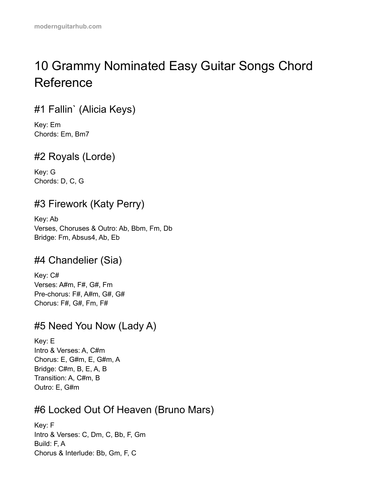# 10 Grammy Nominated Easy Guitar Songs Chord Reference

# #1 Fallin` (Alicia Keys)

Key: Em Chords: Em, Bm7

# #2 Royals (Lorde)

Key: G Chords: D, C, G

# #3 Firework (Katy Perry)

Key: Ab Verses, Choruses & Outro: Ab, Bbm, Fm, Db Bridge: Fm, Absus4, Ab, Eb

### #4 Chandelier (Sia)

Key: C# Verses: A#m, F#, G#, Fm Pre-chorus: F#, A#m, G#, G# Chorus: F#, G#, Fm, F#

### #5 Need You Now (Lady A)

Key: E Intro & Verses: A, C#m Chorus: E, G#m, E, G#m, A Bridge: C#m, B, E, A, B Transition: A, C#m, B Outro: E, G#m

### #6 Locked Out Of Heaven (Bruno Mars)

Key: F Intro & Verses: C, Dm, C, Bb, F, Gm Build: F, A Chorus & Interlude: Bb, Gm, F, C